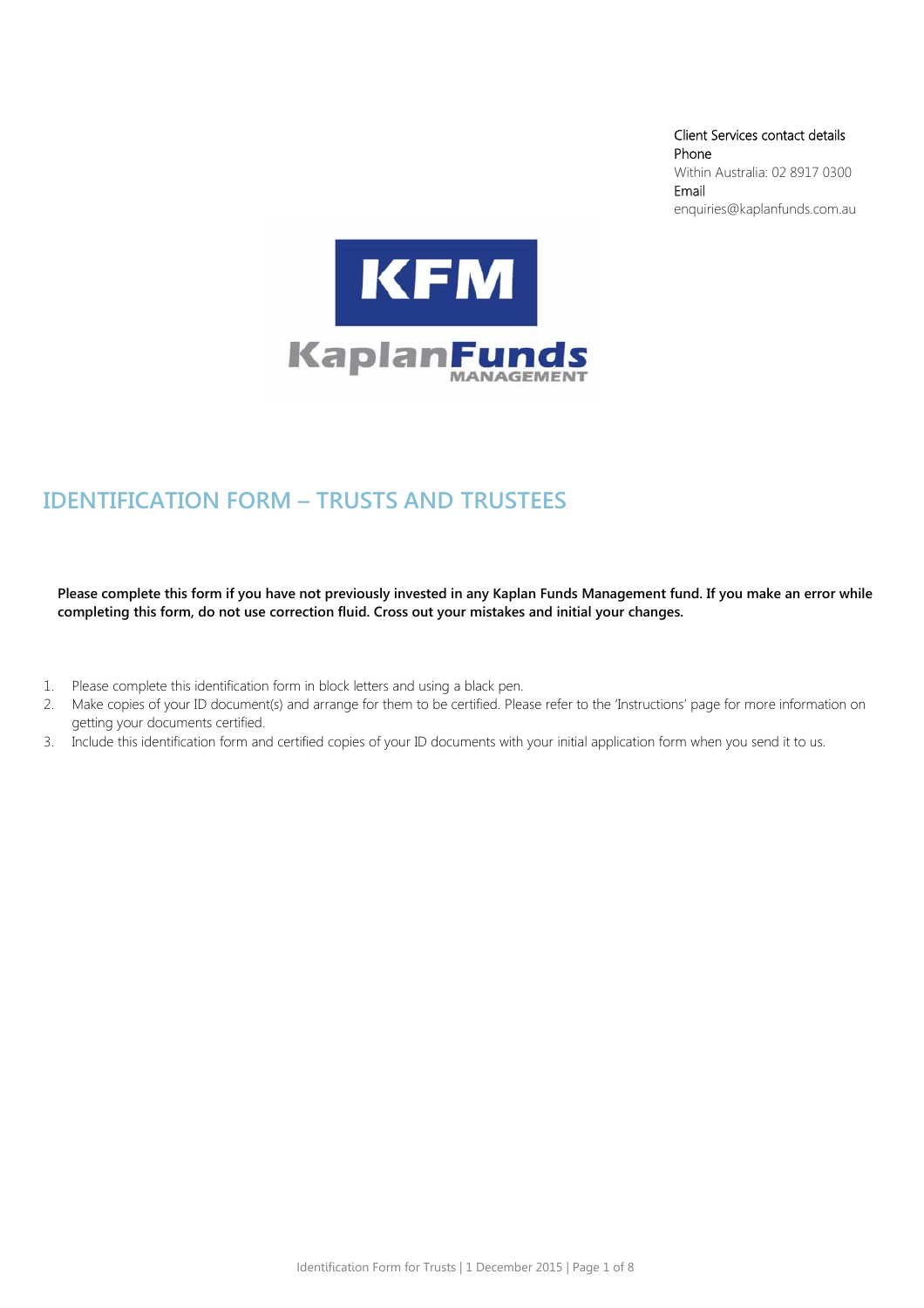Client Services contact details Phone Within Australia: 02 8917 0300 Email enquiries@kaplanfunds.com.au



# IDENTIFICATION FORM – TRUSTS AND TRUSTEES

**Please complete this form if you have not previously invested in any Kaplan Funds Management fund. If you make an error while completing this form, do not use correction fluid. Cross out your mistakes and initial your changes.** 

- 1. Please complete this identification form in block letters and using a black pen.
- 2. Make copies of your ID document(s) and arrange for them to be certified. Please refer to the 'Instructions' page for more information on getting your documents certified.
- 3. Include this identification form and certified copies of your ID documents with your initial application form when you send it to us.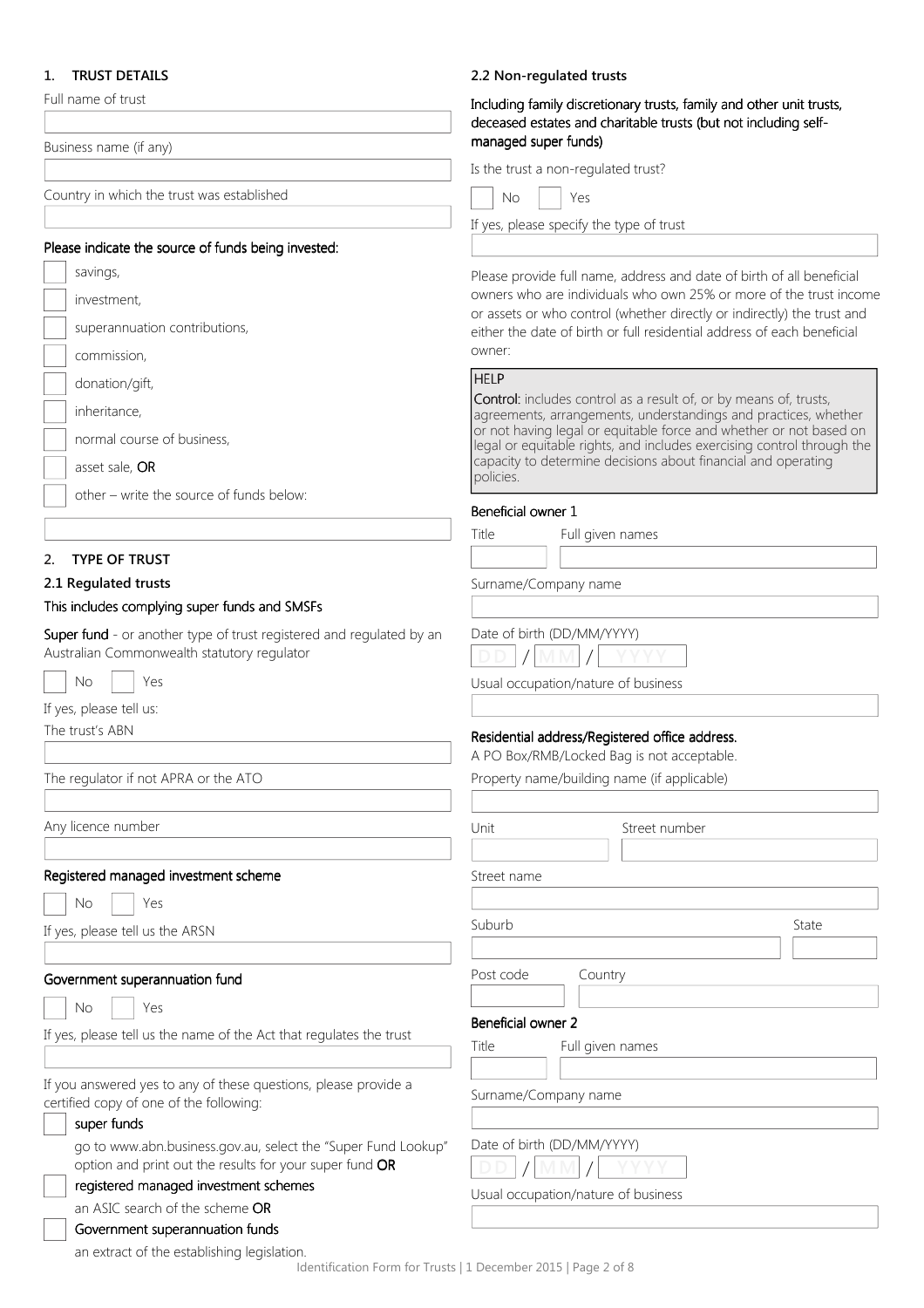# 1. TRUST DETAILS

| 1. TRUST DETAILS                                                                                                    | 2.2 Non-regulated trusts                                                                                                                |                                                                                                                                               |  |
|---------------------------------------------------------------------------------------------------------------------|-----------------------------------------------------------------------------------------------------------------------------------------|-----------------------------------------------------------------------------------------------------------------------------------------------|--|
| Full name of trust                                                                                                  | Including family discretionary trusts, family and other unit trusts,<br>deceased estates and charitable trusts (but not including self- |                                                                                                                                               |  |
| Business name (if any)                                                                                              | managed super funds)                                                                                                                    |                                                                                                                                               |  |
|                                                                                                                     | Is the trust a non-regulated trust?                                                                                                     |                                                                                                                                               |  |
| Country in which the trust was established                                                                          | Yes<br>No                                                                                                                               |                                                                                                                                               |  |
|                                                                                                                     | If yes, please specify the type of trust                                                                                                |                                                                                                                                               |  |
| Please indicate the source of funds being invested:                                                                 |                                                                                                                                         |                                                                                                                                               |  |
| savings,                                                                                                            |                                                                                                                                         | Please provide full name, address and date of birth of all beneficial                                                                         |  |
| investment,                                                                                                         |                                                                                                                                         | owners who are individuals who own 25% or more of the trust income<br>or assets or who control (whether directly or indirectly) the trust and |  |
| superannuation contributions,                                                                                       |                                                                                                                                         | either the date of birth or full residential address of each beneficial                                                                       |  |
| commission,                                                                                                         | owner:                                                                                                                                  |                                                                                                                                               |  |
| donation/gift,                                                                                                      | <b>HELP</b>                                                                                                                             |                                                                                                                                               |  |
| inheritance,                                                                                                        |                                                                                                                                         | <b>Control:</b> includes control as a result of, or by means of, trusts,<br>agreements, arrangements, understandings and practices, whether   |  |
| normal course of business,                                                                                          |                                                                                                                                         | or not having legal or equitable force and whether or not based on                                                                            |  |
| asset sale, OR                                                                                                      |                                                                                                                                         | legal or equitable rights, and includes exercising control through the<br>capacity to determine decisions about financial and operating       |  |
|                                                                                                                     | policies.                                                                                                                               |                                                                                                                                               |  |
| other - write the source of funds below:                                                                            | Beneficial owner 1                                                                                                                      |                                                                                                                                               |  |
|                                                                                                                     | Title<br>Full given names                                                                                                               |                                                                                                                                               |  |
| 2. TYPE OF TRUST                                                                                                    |                                                                                                                                         |                                                                                                                                               |  |
| 2.1 Regulated trusts                                                                                                | Surname/Company name                                                                                                                    |                                                                                                                                               |  |
| This includes complying super funds and SMSFs                                                                       |                                                                                                                                         |                                                                                                                                               |  |
| Super fund - or another type of trust registered and regulated by an<br>Australian Commonwealth statutory regulator | Date of birth (DD/MM/YYYY)                                                                                                              |                                                                                                                                               |  |
| <b>No</b><br>Yes                                                                                                    | Usual occupation/nature of business                                                                                                     |                                                                                                                                               |  |
| If yes, please tell us:                                                                                             |                                                                                                                                         |                                                                                                                                               |  |
| The trust's ABN                                                                                                     | Residential address/Registered office address.                                                                                          |                                                                                                                                               |  |
|                                                                                                                     | A PO Box/RMB/Locked Bag is not acceptable.                                                                                              |                                                                                                                                               |  |
| The regulator if not APRA or the ATO                                                                                | Property name/building name (if applicable)                                                                                             |                                                                                                                                               |  |
| Any licence number                                                                                                  | Unit                                                                                                                                    | Street number                                                                                                                                 |  |
| Registered managed investment scheme                                                                                | Street name                                                                                                                             |                                                                                                                                               |  |
| No<br>Yes                                                                                                           |                                                                                                                                         |                                                                                                                                               |  |
|                                                                                                                     | Suburb                                                                                                                                  | State                                                                                                                                         |  |
| If yes, please tell us the ARSN                                                                                     |                                                                                                                                         |                                                                                                                                               |  |
| Government superannuation fund                                                                                      | Post code<br>Country                                                                                                                    |                                                                                                                                               |  |
| Yes<br><b>No</b>                                                                                                    |                                                                                                                                         |                                                                                                                                               |  |
|                                                                                                                     | Beneficial owner 2                                                                                                                      |                                                                                                                                               |  |
| If yes, please tell us the name of the Act that regulates the trust                                                 | Title<br>Full given names                                                                                                               |                                                                                                                                               |  |
| If you answered yes to any of these questions, please provide a                                                     |                                                                                                                                         |                                                                                                                                               |  |
| certified copy of one of the following:                                                                             | Surname/Company name                                                                                                                    |                                                                                                                                               |  |
| super funds                                                                                                         |                                                                                                                                         |                                                                                                                                               |  |
| go to www.abn.business.gov.au, select the "Super Fund Lookup"                                                       | Date of birth (DD/MM/YYYY)                                                                                                              |                                                                                                                                               |  |
| option and print out the results for your super fund OR                                                             |                                                                                                                                         |                                                                                                                                               |  |
| registered managed investment schemes<br>an ASIC search of the scheme OR                                            | Usual occupation/nature of business                                                                                                     |                                                                                                                                               |  |
| Government superannuation funds                                                                                     |                                                                                                                                         |                                                                                                                                               |  |
| an extract of the establishing legislation.                                                                         |                                                                                                                                         |                                                                                                                                               |  |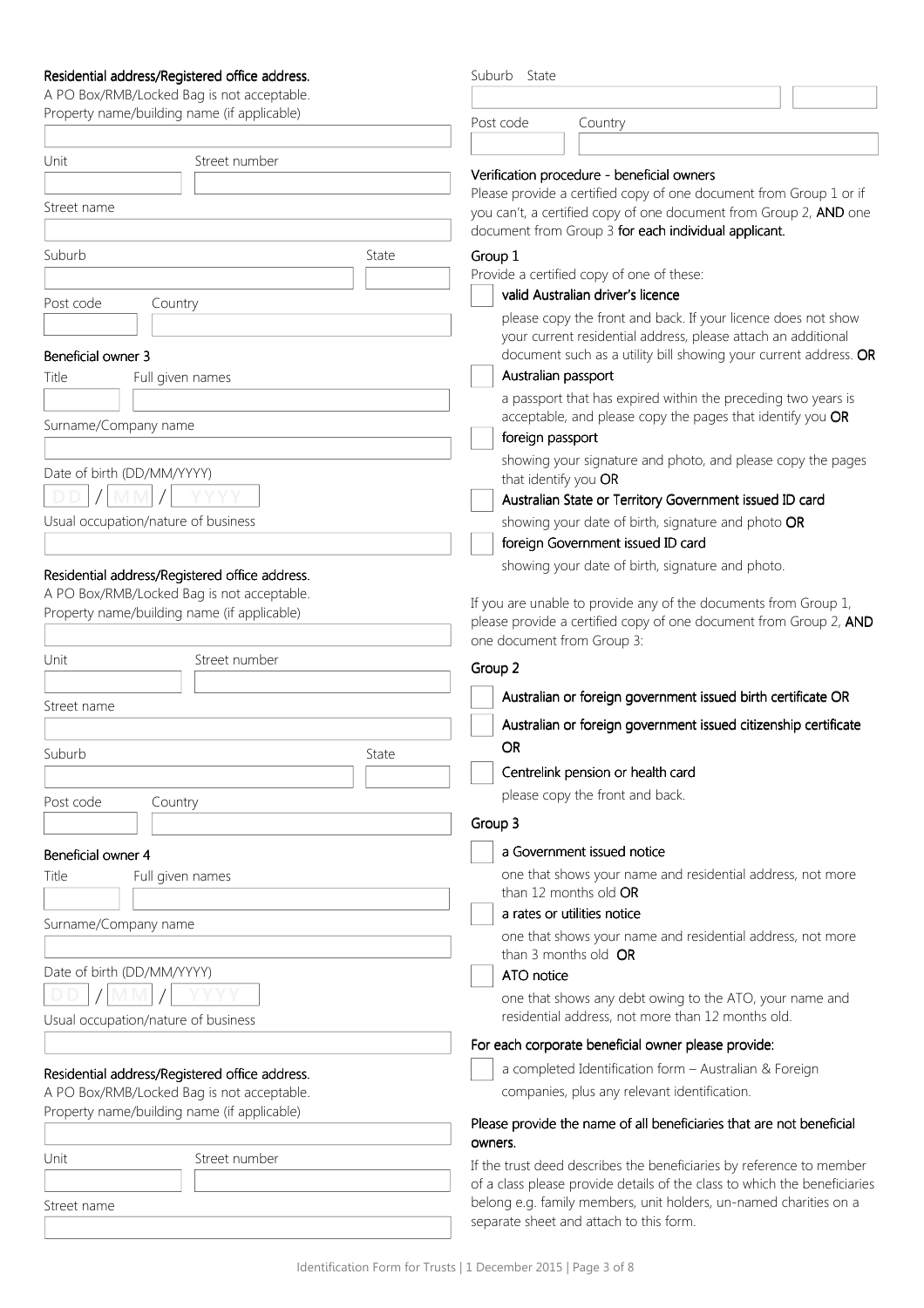## Residential address/Registered office address. Residential address/Registered office address.

| Residential address/Registered office address. |       | Suburb State               |                                                                                                                                   |  |
|------------------------------------------------|-------|----------------------------|-----------------------------------------------------------------------------------------------------------------------------------|--|
| A PO Box/RMB/Locked Bag is not acceptable.     |       |                            |                                                                                                                                   |  |
| Property name/building name (if applicable)    |       | Post code                  | Country                                                                                                                           |  |
|                                                |       |                            |                                                                                                                                   |  |
| Street number<br>Unit                          |       |                            | Verification procedure - beneficial owners                                                                                        |  |
|                                                |       |                            | Please provide a certified copy of one document from Group 1 or if                                                                |  |
| Street name                                    |       |                            | you can't, a certified copy of one document from Group 2, AND one                                                                 |  |
|                                                |       |                            | document from Group 3 for each individual applicant.                                                                              |  |
| Suburb                                         | State | Group 1                    |                                                                                                                                   |  |
|                                                |       |                            | Provide a certified copy of one of these:                                                                                         |  |
| Post code<br>Country                           |       |                            | valid Australian driver's licence                                                                                                 |  |
|                                                |       |                            | please copy the front and back. If your licence does not show                                                                     |  |
| Beneficial owner 3                             |       |                            | your current residential address, please attach an additional<br>document such as a utility bill showing your current address. OR |  |
| Full given names<br>Title                      |       | Australian passport        |                                                                                                                                   |  |
|                                                |       |                            | a passport that has expired within the preceding two years is                                                                     |  |
| Surname/Company name                           |       |                            | acceptable, and please copy the pages that identify you OR                                                                        |  |
|                                                |       | foreign passport           |                                                                                                                                   |  |
|                                                |       |                            | showing your signature and photo, and please copy the pages                                                                       |  |
| Date of birth (DD/MM/YYYY)                     |       | that identify you OR       |                                                                                                                                   |  |
|                                                |       |                            | Australian State or Territory Government issued ID card                                                                           |  |
| Usual occupation/nature of business            |       |                            | showing your date of birth, signature and photo OR                                                                                |  |
|                                                |       |                            | foreign Government issued ID card                                                                                                 |  |
| Residential address/Registered office address. |       |                            | showing your date of birth, signature and photo.                                                                                  |  |
| A PO Box/RMB/Locked Bag is not acceptable.     |       |                            | If you are unable to provide any of the documents from Group 1,                                                                   |  |
| Property name/building name (if applicable)    |       |                            | please provide a certified copy of one document from Group 2, AND                                                                 |  |
|                                                |       | one document from Group 3: |                                                                                                                                   |  |
| Street number<br>Unit                          |       | Group 2                    |                                                                                                                                   |  |
|                                                |       |                            |                                                                                                                                   |  |
| Street name                                    |       |                            | Australian or foreign government issued birth certificate OR                                                                      |  |
|                                                |       |                            | Australian or foreign government issued citizenship certificate                                                                   |  |
| Suburb                                         | State | <b>OR</b>                  |                                                                                                                                   |  |
|                                                |       |                            | Centrelink pension or health card                                                                                                 |  |
| Post code<br>Country                           |       |                            | please copy the front and back.                                                                                                   |  |
|                                                |       | Group 3                    |                                                                                                                                   |  |
| Beneficial owner 4                             |       |                            | a Government issued notice                                                                                                        |  |
| Title<br>Full given names                      |       |                            | one that shows your name and residential address, not more                                                                        |  |
|                                                |       |                            | than 12 months old OR                                                                                                             |  |
|                                                |       |                            | a rates or utilities notice                                                                                                       |  |
| Surname/Company name                           |       | than 3 months old OR       | one that shows your name and residential address, not more                                                                        |  |
| Date of birth (DD/MM/YYYY)                     |       | ATO notice                 |                                                                                                                                   |  |
|                                                |       |                            | one that shows any debt owing to the ATO, your name and                                                                           |  |
| Usual occupation/nature of business            |       |                            | residential address, not more than 12 months old.                                                                                 |  |
|                                                |       |                            | For each corporate beneficial owner please provide:                                                                               |  |
| Residential address/Registered office address. |       |                            | a completed Identification form - Australian & Foreign                                                                            |  |
| A PO Box/RMB/Locked Bag is not acceptable.     |       |                            | companies, plus any relevant identification.                                                                                      |  |
| Property name/building name (if applicable)    |       |                            | Please provide the name of all beneficiaries that are not beneficial                                                              |  |
|                                                |       | owners.                    |                                                                                                                                   |  |
| Street number<br>Unit                          |       |                            | If the trust deed describes the beneficiaries by reference to member                                                              |  |
|                                                |       |                            | of a class please provide details of the class to which the beneficiaries                                                         |  |
| Street name                                    |       |                            | belong e.g. family members, unit holders, un-named charities on a                                                                 |  |
|                                                |       |                            | separate sheet and attach to this form.                                                                                           |  |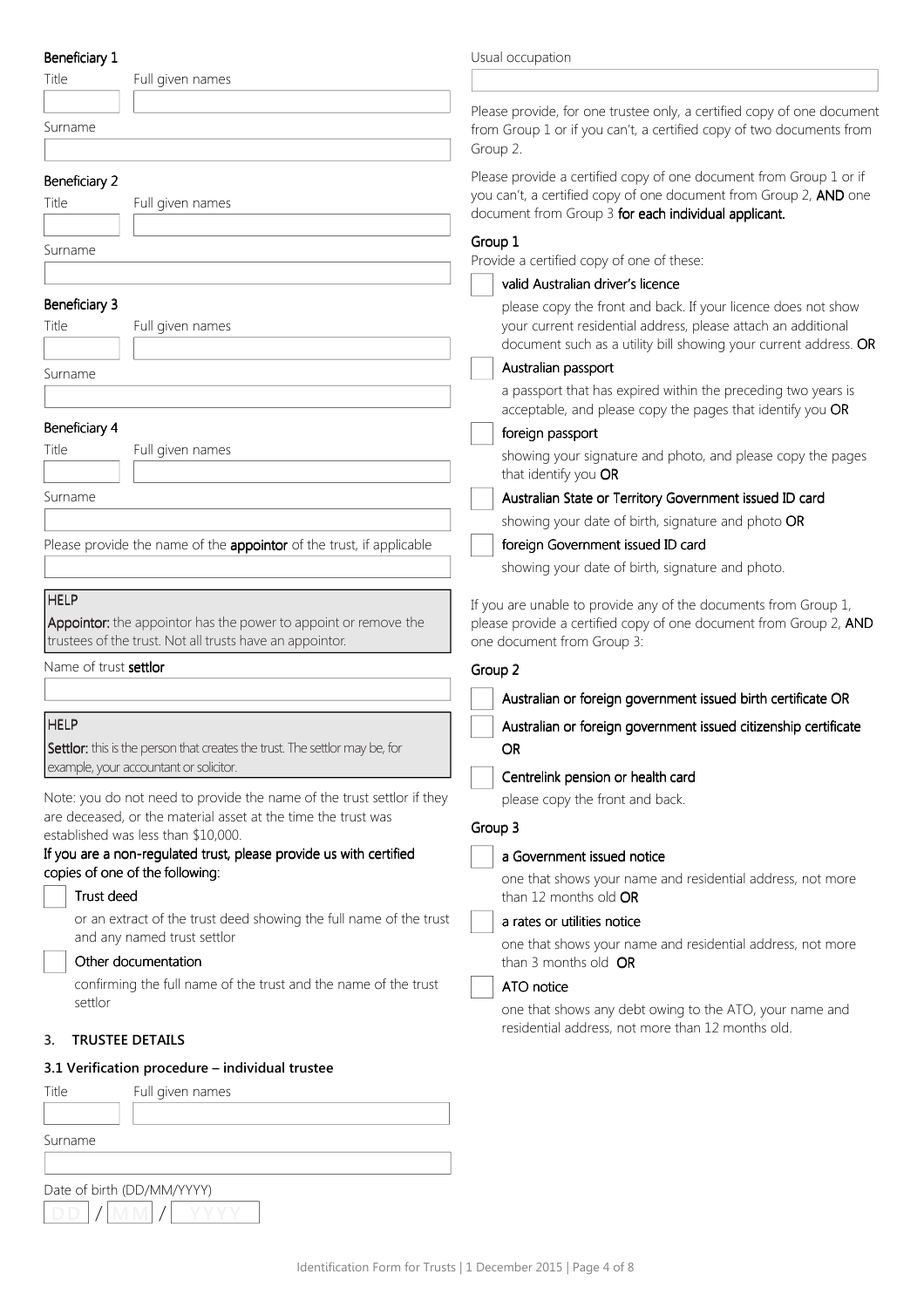| Beneficiary 1 |  |
|---------------|--|
|               |  |

| Beneficiary 1          |                                                                                                                             | Usual occupation                                                                                                                                                                                   |
|------------------------|-----------------------------------------------------------------------------------------------------------------------------|----------------------------------------------------------------------------------------------------------------------------------------------------------------------------------------------------|
| Title                  | Full given names                                                                                                            |                                                                                                                                                                                                    |
| Surname                |                                                                                                                             | Please provide, for one trustee only, a certified copy of one document<br>from Group 1 or if you can't, a certified copy of two documents from<br>Group 2.                                         |
| Beneficiary 2<br>Title | Full given names                                                                                                            | Please provide a certified copy of one document from Group 1 or if<br>you can't, a certified copy of one document from Group 2, AND one<br>document from Group 3 for each individual applicant.    |
| Surname                |                                                                                                                             | Group 1<br>Provide a certified copy of one of these:                                                                                                                                               |
|                        |                                                                                                                             | valid Australian driver's licence                                                                                                                                                                  |
| Beneficiary 3<br>Title | Full given names                                                                                                            | please copy the front and back. If your licence does not show<br>your current residential address, please attach an additional<br>document such as a utility bill showing your current address. OR |
| Surname                |                                                                                                                             | Australian passport                                                                                                                                                                                |
|                        |                                                                                                                             | a passport that has expired within the preceding two years is<br>acceptable, and please copy the pages that identify you OR                                                                        |
| Beneficiary 4          |                                                                                                                             | foreign passport                                                                                                                                                                                   |
| Title                  | Full given names                                                                                                            | showing your signature and photo, and please copy the pages<br>that identify you OR                                                                                                                |
| Surname                |                                                                                                                             | Australian State or Territory Government issued ID card                                                                                                                                            |
|                        |                                                                                                                             | showing your date of birth, signature and photo OR                                                                                                                                                 |
|                        | Please provide the name of the appointor of the trust, if applicable                                                        | foreign Government issued ID card                                                                                                                                                                  |
|                        |                                                                                                                             | showing your date of birth, signature and photo.                                                                                                                                                   |
| <b>HELP</b>            | Appointor: the appointor has the power to appoint or remove the<br>trustees of the trust. Not all trusts have an appointor. | If you are unable to provide any of the documents from Group 1,<br>please provide a certified copy of one document from Group 2, AND<br>one document from Group 3:                                 |
| Name of trust settlor  |                                                                                                                             | Group 2                                                                                                                                                                                            |
|                        |                                                                                                                             | Australian or foreign government issued birth certificate OR                                                                                                                                       |
| <b>HELP</b>            |                                                                                                                             | Australian or foreign government issued citizenship certificate                                                                                                                                    |
|                        | Settlor: this is the person that creates the trust. The settlor may be, for                                                 | <b>OR</b>                                                                                                                                                                                          |
|                        | example, your accountant or solicitor.                                                                                      | Centrelink pension or health card                                                                                                                                                                  |
|                        | Note: you do not need to provide the name of the trust settlor if they                                                      | please copy the front and back.                                                                                                                                                                    |
|                        | are deceased, or the material asset at the time the trust was<br>established was less than \$10,000.                        | Group 3                                                                                                                                                                                            |
|                        | If you are a non-regulated trust, please provide us with certified                                                          | a Government issued notice                                                                                                                                                                         |
| Trust deed             | copies of one of the following:                                                                                             | one that shows your name and residential address, not more<br>than 12 months old OR                                                                                                                |
|                        | or an extract of the trust deed showing the full name of the trust                                                          | a rates or utilities notice                                                                                                                                                                        |
|                        | and any named trust settlor<br>Other documentation                                                                          | one that shows your name and residential address, not more<br>than 3 months old OR                                                                                                                 |
|                        | confirming the full name of the trust and the name of the trust                                                             | ATO notice                                                                                                                                                                                         |
| settlor                |                                                                                                                             | one that shows any debt owing to the ATO, your name and<br>residential address, not more than 12 months old.                                                                                       |
| 3.                     | <b>TRUSTEE DETAILS</b>                                                                                                      |                                                                                                                                                                                                    |
|                        | 3.1 Verification procedure - individual trustee                                                                             |                                                                                                                                                                                                    |
| Title                  | Full given names                                                                                                            |                                                                                                                                                                                                    |
| Surname                |                                                                                                                             |                                                                                                                                                                                                    |

DD / MM / YYYY Date of birth (DD/MM/YYYY)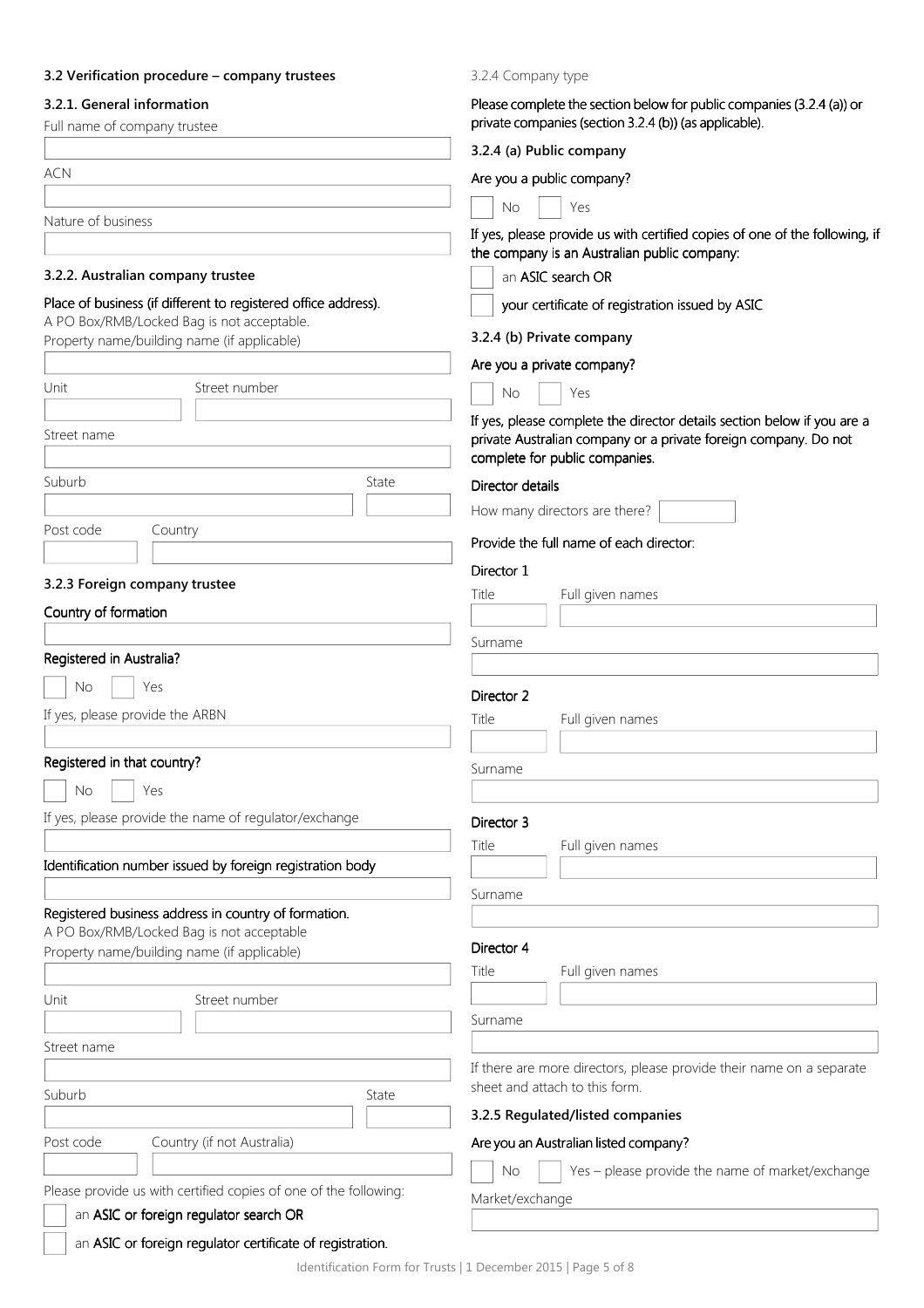# 3.2 Verification procedure – company trustees

#### 3.2.1. General information

| 3.2.1. General information<br>Full name of company trustee                                        | Please complete the section below for public companies (3.2.4 (a)) or<br>private companies (section 3.2.4 (b)) (as applicable).                                              |  |  |  |
|---------------------------------------------------------------------------------------------------|------------------------------------------------------------------------------------------------------------------------------------------------------------------------------|--|--|--|
|                                                                                                   | 3.2.4 (a) Public company                                                                                                                                                     |  |  |  |
| <b>ACN</b>                                                                                        | Are you a public company?                                                                                                                                                    |  |  |  |
|                                                                                                   | Yes<br><b>No</b>                                                                                                                                                             |  |  |  |
| Nature of business                                                                                | If yes, please provide us with certified copies of one of the following, if<br>the company is an Australian public company:                                                  |  |  |  |
| 3.2.2. Australian company trustee                                                                 | an ASIC search OR                                                                                                                                                            |  |  |  |
| Place of business (if different to registered office address).                                    | your certificate of registration issued by ASIC                                                                                                                              |  |  |  |
| A PO Box/RMB/Locked Bag is not acceptable.<br>Property name/building name (if applicable)         | 3.2.4 (b) Private company                                                                                                                                                    |  |  |  |
|                                                                                                   | Are you a private company?<br>Yes<br><b>No</b>                                                                                                                               |  |  |  |
| Unit<br>Street number                                                                             |                                                                                                                                                                              |  |  |  |
| Street name                                                                                       | If yes, please complete the director details section below if you are a<br>private Australian company or a private foreign company. Do not<br>complete for public companies. |  |  |  |
| Suburb<br>State                                                                                   | Director details                                                                                                                                                             |  |  |  |
|                                                                                                   | How many directors are there?                                                                                                                                                |  |  |  |
| Post code<br>Country                                                                              | Provide the full name of each director:                                                                                                                                      |  |  |  |
|                                                                                                   |                                                                                                                                                                              |  |  |  |
| 3.2.3 Foreign company trustee                                                                     | Director 1<br>Title<br>Full given names                                                                                                                                      |  |  |  |
| Country of formation                                                                              |                                                                                                                                                                              |  |  |  |
|                                                                                                   | Surname                                                                                                                                                                      |  |  |  |
| Registered in Australia?                                                                          |                                                                                                                                                                              |  |  |  |
| No.<br>Yes                                                                                        | Director 2                                                                                                                                                                   |  |  |  |
| If yes, please provide the ARBN                                                                   | Title<br>Full given names                                                                                                                                                    |  |  |  |
|                                                                                                   |                                                                                                                                                                              |  |  |  |
| Registered in that country?                                                                       | Surname                                                                                                                                                                      |  |  |  |
| No<br>Yes                                                                                         |                                                                                                                                                                              |  |  |  |
| If yes, please provide the name of regulator/exchange                                             | Director 3                                                                                                                                                                   |  |  |  |
|                                                                                                   | Title<br>Full given names                                                                                                                                                    |  |  |  |
| Identification number issued by foreign registration body                                         |                                                                                                                                                                              |  |  |  |
|                                                                                                   | Surname                                                                                                                                                                      |  |  |  |
| Registered business address in country of formation.<br>A PO Box/RMB/Locked Bag is not acceptable |                                                                                                                                                                              |  |  |  |
| Property name/building name (if applicable)                                                       | Director 4                                                                                                                                                                   |  |  |  |
|                                                                                                   | Title<br>Full given names                                                                                                                                                    |  |  |  |
| Street number<br>Unit                                                                             |                                                                                                                                                                              |  |  |  |
|                                                                                                   | Surname                                                                                                                                                                      |  |  |  |
| Street name                                                                                       |                                                                                                                                                                              |  |  |  |
| Suburb<br>State                                                                                   | If there are more directors, please provide their name on a separate<br>sheet and attach to this form.                                                                       |  |  |  |
|                                                                                                   | 3.2.5 Regulated/listed companies                                                                                                                                             |  |  |  |
| Country (if not Australia)<br>Post code                                                           | Are you an Australian listed company?                                                                                                                                        |  |  |  |
|                                                                                                   | Yes - please provide the name of market/exchange<br><b>No</b>                                                                                                                |  |  |  |
| Please provide us with certified copies of one of the following:                                  | Market/exchange                                                                                                                                                              |  |  |  |
| an ASIC or foreign regulator search OR                                                            |                                                                                                                                                                              |  |  |  |
| an ASIC or foreign regulator certificate of registration.                                         |                                                                                                                                                                              |  |  |  |

3.2.4 Company type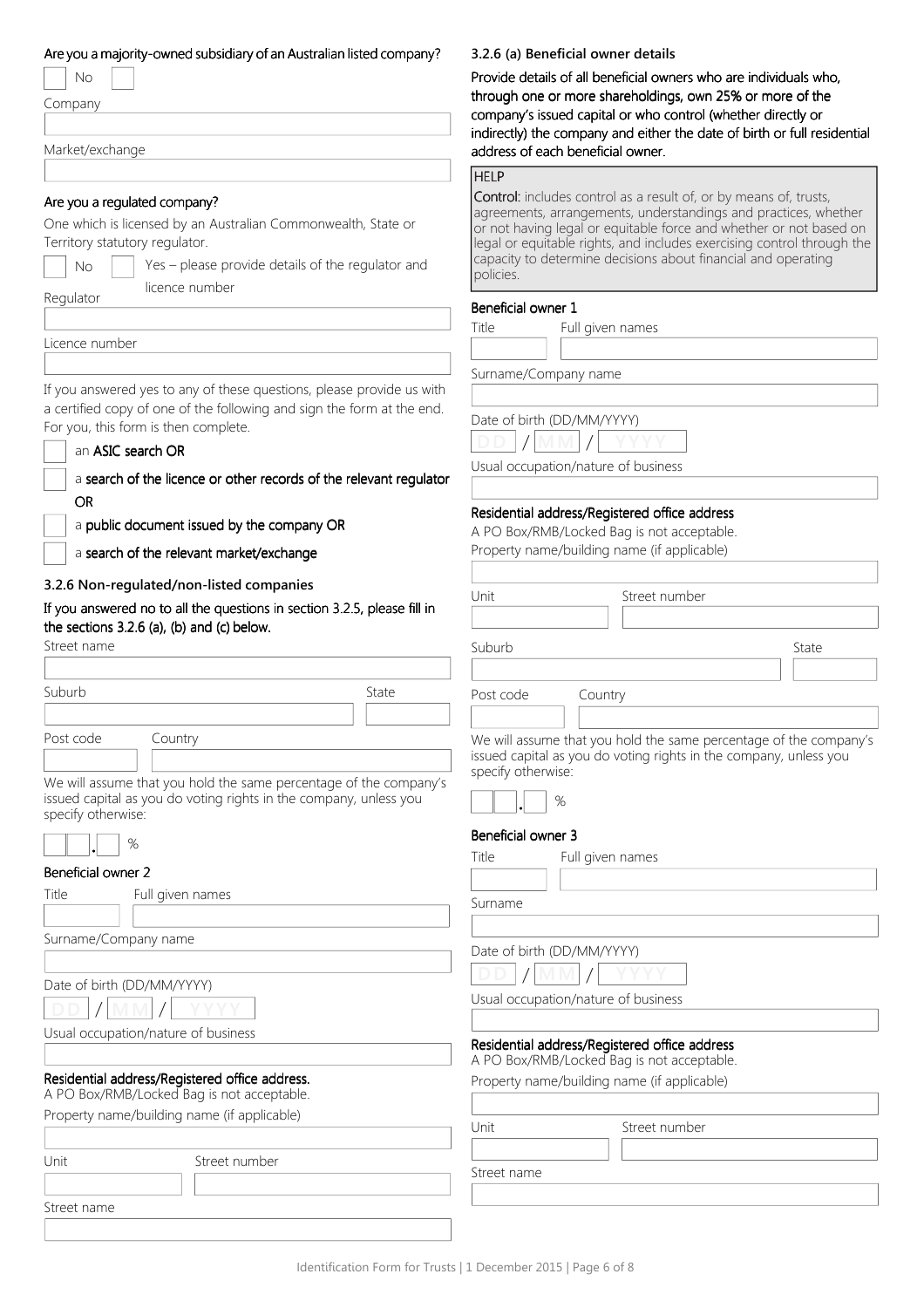#### Are you a majority-owned subsidiary of an Australian listed company?

| Nο      |  |
|---------|--|
| Company |  |

Market/exchange

#### Are you a regulated company?

One which is licensed by an Australian Commonwealth, State or Territory statutory regulator.

Yes – please provide details of the regulator and  $\begin{bmatrix} \text{capacity} \\ \text{policies.} \end{bmatrix}$ licence number

Regulator

Licence number

Street name

If you answered yes to any of these questions, please provide us with a certified copy of one of the following and sign the form at the end. For you, this form is then complete.

a search of the licence or other records of the relevant regulator OR

a public document issued by the company OR

a search of the relevant market/ exchange

#### 3.2.6 Non-regulated/non-listed companies

If you answered no to all the questions in section 3.2.5, please fill in the sections  $3.2.6$  (a), (b) and (c) below.

| Suburb               |                                                                                                                                        | State |
|----------------------|----------------------------------------------------------------------------------------------------------------------------------------|-------|
|                      |                                                                                                                                        |       |
| Post code            | Country                                                                                                                                |       |
|                      |                                                                                                                                        |       |
| specify otherwise:   | We will assume that you hold the same percentage of the company's<br>issued capital as you do voting rights in the company, unless you |       |
|                      | %                                                                                                                                      |       |
| Beneficial owner 2   |                                                                                                                                        |       |
| Title                | Full given names                                                                                                                       |       |
|                      |                                                                                                                                        |       |
| Surname/Company name |                                                                                                                                        |       |
|                      |                                                                                                                                        |       |
|                      | Date of birth (DD/MM/YYYY)                                                                                                             |       |
|                      |                                                                                                                                        |       |
|                      | Usual occupation/nature of business                                                                                                    |       |

## Residential address/Registered offic

A PO Box/RMB/Locked Bag is not a

| Property name/building name (if applicable) |               |  |
|---------------------------------------------|---------------|--|
|                                             |               |  |
| Unit                                        | Street number |  |
|                                             |               |  |

Street name

## 3.2.6 (a) Beneficial owner details

Provide details of all beneficial owners who are individuals who, through one or more shareholdings, own 25% or more of the company's issued capital or who control (whether directly or indirectly) the company and either the date of birth or full residential address of each beneficial owner.

#### **HELP**

Control: includes control as a result of, or by means of, trusts, agreements, arrangements, understandings and practices, whether or not having legal or equitable force and whether or not based on legal or equitable rights, and includes exercising control through the capacity to determine decisions about financial and operating

#### Beneficial owner 1

Title Full given names

Surname/Company name

Date of birth (DD/MM/YYYY)



Usual occupation/nature of business

#### Residential address/Registered office address Residential address/Registered office address /Registered office address

A PO Box/RMB/Locked Bag is not acceptable.

Property name/building name (if applicable)

| Unit      | Street number |       |
|-----------|---------------|-------|
|           |               |       |
| Suburb    |               | State |
|           |               |       |
| Post code | Country       |       |

We will assume that you hold the same percentage of the company's issued capital as you do voting rights in the company, unless you specify otherwise:



#### Beneficial owner 3

|                           | Title<br>Full given names<br>Surname                                                        |
|---------------------------|---------------------------------------------------------------------------------------------|
|                           |                                                                                             |
|                           | Date of birth (DD/MM/YYYY)                                                                  |
|                           |                                                                                             |
|                           | Usual occupation/nature of business                                                         |
|                           |                                                                                             |
| S.                        | Residential address/Registered office address<br>A PO Box/RMB/Locked Bag is not acceptable. |
| e address.<br>acceptable. | Property name/building name (if applicable)                                                 |
| oplicable)                |                                                                                             |
|                           | Unit<br>Street number                                                                       |
| mber                      | Street name                                                                                 |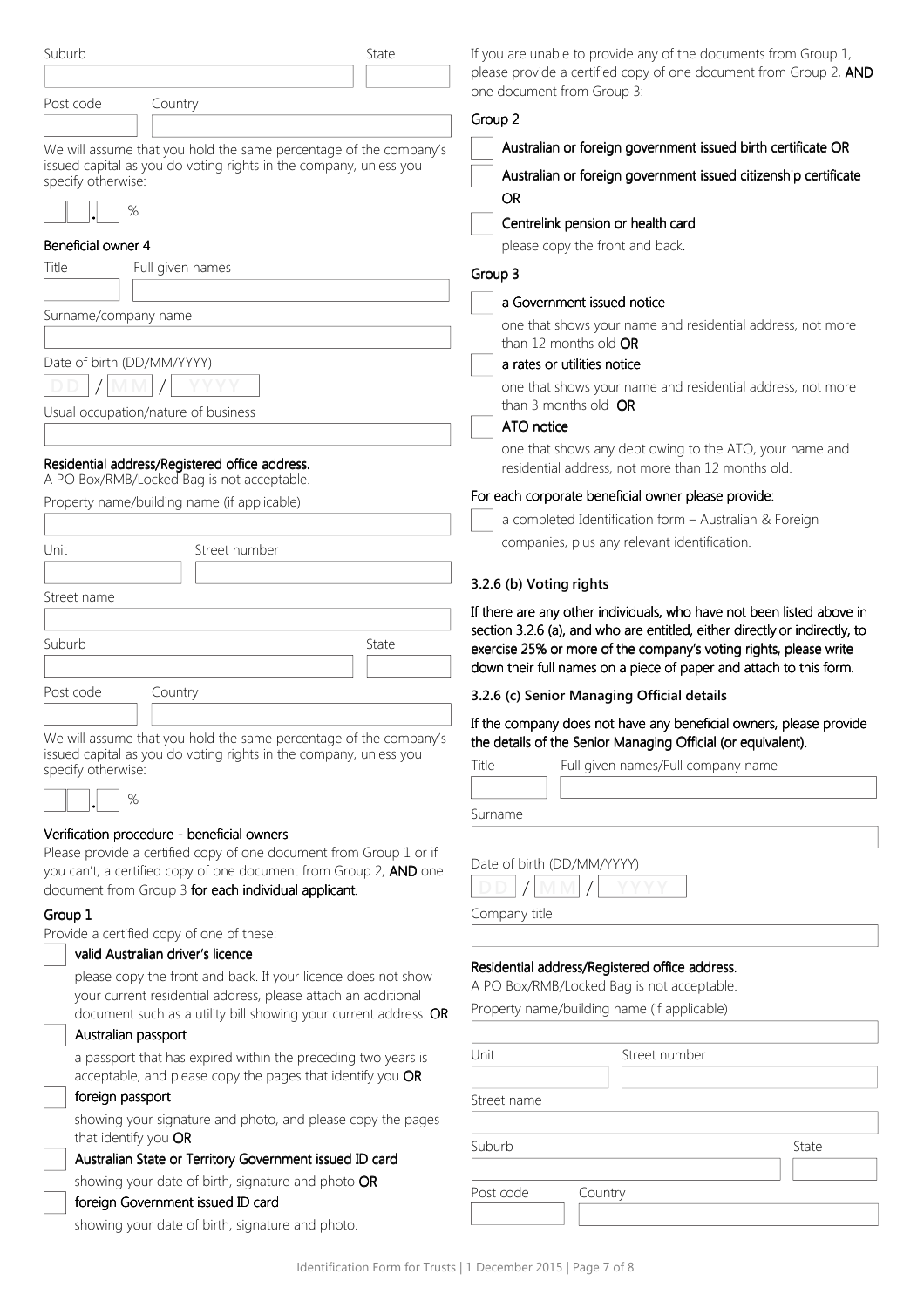| Suburb                                                                                                                                                       | State | If you are unable to provide any of the documents from Group 1,                                                                         |
|--------------------------------------------------------------------------------------------------------------------------------------------------------------|-------|-----------------------------------------------------------------------------------------------------------------------------------------|
|                                                                                                                                                              |       | please provide a certified copy of one document from Group 2, AND<br>one document from Group 3:                                         |
| Post code<br>Country                                                                                                                                         |       | Group 2                                                                                                                                 |
|                                                                                                                                                              |       |                                                                                                                                         |
| We will assume that you hold the same percentage of the company's<br>issued capital as you do voting rights in the company, unless you<br>specify otherwise: |       | Australian or foreign government issued birth certificate OR<br>Australian or foreign government issued citizenship certificate         |
| %                                                                                                                                                            |       | <b>OR</b>                                                                                                                               |
| Beneficial owner 4                                                                                                                                           |       | Centrelink pension or health card                                                                                                       |
| Title<br>Full given names                                                                                                                                    |       | please copy the front and back.                                                                                                         |
|                                                                                                                                                              |       | Group 3                                                                                                                                 |
| Surname/company name                                                                                                                                         |       | a Government issued notice                                                                                                              |
|                                                                                                                                                              |       | one that shows your name and residential address, not more<br>than 12 months old OR                                                     |
| Date of birth (DD/MM/YYYY)                                                                                                                                   |       | a rates or utilities notice                                                                                                             |
| Usual occupation/nature of business                                                                                                                          |       | one that shows your name and residential address, not more<br>than 3 months old OR                                                      |
|                                                                                                                                                              |       | ATO notice                                                                                                                              |
| Residential address/Registered office address.                                                                                                               |       | one that shows any debt owing to the ATO, your name and<br>residential address, not more than 12 months old.                            |
| A PO Box/RMB/Locked Bag is not acceptable.                                                                                                                   |       | For each corporate beneficial owner please provide:                                                                                     |
| Property name/building name (if applicable)                                                                                                                  |       | a completed Identification form - Australian & Foreign                                                                                  |
|                                                                                                                                                              |       | companies, plus any relevant identification.                                                                                            |
| Street number<br>Unit                                                                                                                                        |       |                                                                                                                                         |
|                                                                                                                                                              |       | 3.2.6 (b) Voting rights                                                                                                                 |
| Street name                                                                                                                                                  |       | If there are any other individuals, who have not been listed above in                                                                   |
|                                                                                                                                                              |       | section 3.2.6 (a), and who are entitled, either directly or indirectly, to                                                              |
| Suburb                                                                                                                                                       | State | exercise 25% or more of the company's voting rights, please write<br>down their full names on a piece of paper and attach to this form. |
| Post code                                                                                                                                                    |       |                                                                                                                                         |
| Country                                                                                                                                                      |       | 3.2.6 (c) Senior Managing Official details                                                                                              |
| We will assume that you hold the same percentage of the company's<br>issued capital as you do voting rights in the company, unless you<br>specify otherwise: |       | If the company does not have any beneficial owners, please provide                                                                      |
|                                                                                                                                                              |       | the details of the Senior Managing Official (or equivalent).                                                                            |
|                                                                                                                                                              |       | Full given names/Full company name<br>Title                                                                                             |
| $\%$                                                                                                                                                         |       |                                                                                                                                         |
|                                                                                                                                                              |       | Surname                                                                                                                                 |
| Verification procedure - beneficial owners<br>Please provide a certified copy of one document from Group 1 or if                                             |       |                                                                                                                                         |
| you can't, a certified copy of one document from Group 2, AND one                                                                                            |       | Date of birth (DD/MM/YYYY)                                                                                                              |
| document from Group 3 for each individual applicant.                                                                                                         |       |                                                                                                                                         |
| Group 1                                                                                                                                                      |       | Company title                                                                                                                           |
| Provide a certified copy of one of these:                                                                                                                    |       |                                                                                                                                         |
| valid Australian driver's licence                                                                                                                            |       | Residential address/Registered office address.                                                                                          |
| please copy the front and back. If your licence does not show<br>your current residential address, please attach an additional                               |       | A PO Box/RMB/Locked Bag is not acceptable.<br>Property name/building name (if applicable)                                               |
| document such as a utility bill showing your current address. OR                                                                                             |       |                                                                                                                                         |
| Australian passport                                                                                                                                          |       | Unit<br>Street number                                                                                                                   |
| a passport that has expired within the preceding two years is<br>acceptable, and please copy the pages that identify you OR                                  |       |                                                                                                                                         |
| foreign passport                                                                                                                                             |       | Street name                                                                                                                             |
| showing your signature and photo, and please copy the pages<br>that identify you OR                                                                          |       |                                                                                                                                         |
| Australian State or Territory Government issued ID card                                                                                                      |       | Suburb<br>State                                                                                                                         |
| showing your date of birth, signature and photo OR                                                                                                           |       |                                                                                                                                         |
| foreign Government issued ID card                                                                                                                            |       | Post code<br>Country                                                                                                                    |
| showing your date of birth, signature and photo.                                                                                                             |       |                                                                                                                                         |